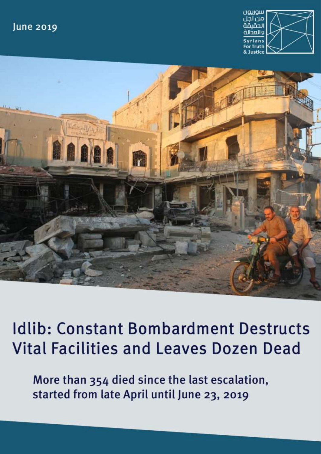## **June 2019**





**Idlib: Constant Bombardment Destructs Vital Facilities and Leaves Dozen Dead** 

More than 354 died since the last escalation, started from late April until June 23, 2019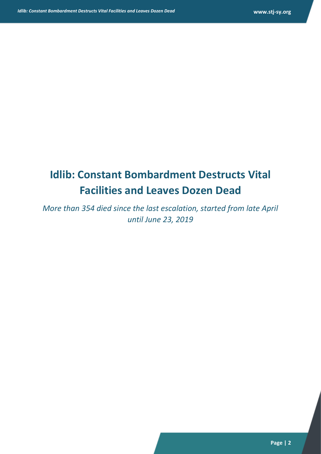# **Idlib: Constant Bombardment Destructs Vital Facilities and Leaves Dozen Dead**

*More than 354 died since the last escalation, started from late April until June 23, 2019*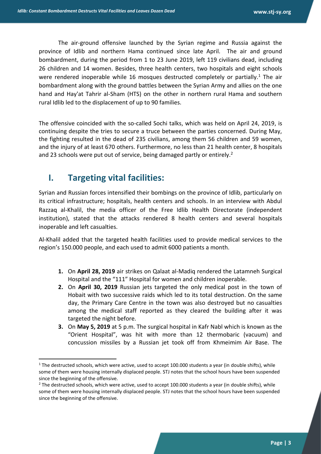The air-ground offensive launched by the Syrian regime and Russia against the province of Idlib and northern Hama continued since late April. The air and ground bombardment, during the period from 1 to 23 June 2019, left 119 civilians dead, including 26 children and 14 women. Besides, three health centers, two hospitals and eight schools were rendered inoperable while 16 mosques destructed completely or partially.<sup>1</sup> The air bombardment along with the ground battles between the Syrian Army and allies on the one hand and Hay'at Tahrir al-Sham (HTS) on the other in northern rural Hama and southern rural Idlib led to the displacement of up to 90 families.

The offensive coincided with the so-called Sochi talks, which was held on April 24, 2019, is continuing despite the tries to secure a truce between the parties concerned. During May, the fighting resulted in the dead of 235 civilians, among them 56 children and 59 women, and the injury of at least 670 others. Furthermore, no less than 21 health center, 8 hospitals and 23 schools were put out of service, being damaged partly or entirely.<sup>2</sup>

#### **I. Targeting vital facilities:**

**.** 

Syrian and Russian forces intensified their bombings on the province of Idlib, particularly on its critical infrastructure; hospitals, health centers and schools. In an interview with Abdul Razzaq al-Khalil, the media officer of the Free Idlib Health Directorate (independent institution), stated that the attacks rendered 8 health centers and several hospitals inoperable and left casualties.

Al-Khalil added that the targeted health facilities used to provide medical services to the region's 150.000 people, and each used to admit 6000 patients a month.

- **1.** On **April 28, 2019** air strikes on Qalaat al-Madiq rendered the Latamneh Surgical Hospital and the "111" Hospital for women and children inoperable.
- **2.** On **April 30, 2019** Russian jets targeted the only medical post in the town of Hobait with two successive raids which led to its total destruction. On the same day, the Primary Care Centre in the town was also destroyed but no casualties among the medical staff reported as they cleared the building after it was targeted the night before.
- **3.** On **May 5, 2019** at 5 p.m. The surgical hospital in Kafr Nabl which is known as the "Orient Hospital", was hit with more than 12 thermobaric (vacuum) and concussion missiles by a Russian jet took off from Khmeimim Air Base. The

 $1$  The destructed schools, which were active, used to accept 100.000 students a year (in double shifts), while some of them were housing internally displaced people. STJ notes that the school hours have been suspended since the beginning of the offensive.

<sup>&</sup>lt;sup>2</sup> The destructed schools, which were active, used to accept 100.000 students a year (in double shifts), while some of them were housing internally displaced people. STJ notes that the school hours have been suspended since the beginning of the offensive.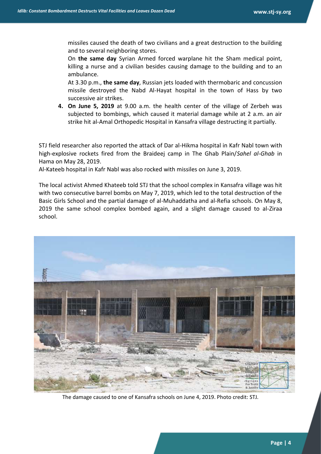missiles caused the death of two civilians and a great destruction to the building and to several neighboring stores.

On **the same day** Syrian Armed forced warplane hit the Sham medical point, killing a nurse and a civilian besides causing damage to the building and to an ambulance.

At 3.30 p.m., **the same day**, Russian jets loaded with thermobaric and concussion missile destroyed the Nabd Al-Hayat hospital in the town of Hass by two successive air strikes.

**4. On June 5, 2019** at 9.00 a.m. the health center of the village of Zerbeh was subjected to bombings, which caused it material damage while at 2 a.m. an air strike hit al-Amal Orthopedic Hospital in Kansafra village destructing it partially.

STJ field researcher also reported the attack of Dar al-Hikma hospital in Kafr Nabl town with high-explosive rockets fired from the Braideej camp in The Ghab Plain/*Sahel al-Ghab* in Hama on May 28, 2019.

Al-Kateeb hospital in Kafr Nabl was also rocked with missiles on June 3, 2019.

The local activist Ahmed Khateeb told STJ that the school complex in Kansafra village was hit with two consecutive barrel bombs on May 7, 2019, which led to the total destruction of the Basic Girls School and the partial damage of al-Muhaddatha and al-Refia schools. On May 8, 2019 the same school complex bombed again, and a slight damage caused to al-Ziraa school.



The damage caused to one of Kansafra schools on June 4, 2019. Photo credit: STJ.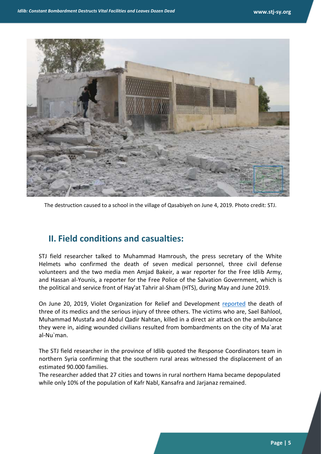

The destruction caused to a school in the village of Qasabiyeh on June 4, 2019. Photo credit: STJ.

#### **II. Field conditions and casualties:**

STJ field researcher talked to Muhammad Hamroush, the press secretary of the White Helmets who confirmed the death of seven medical personnel, three civil defense volunteers and the two media men Amjad Bakeir, a war reporter for the Free Idlib Army, and Hassan al-Younis, a reporter for the Free Police of the Salvation Government, which is the political and service front of Hay'at Tahrir al-Sham (HTS), during May and June 2019.

On June 20, 2019, Violet Organization for Relief and Development [reported](https://www.facebook.com/org.violet/photos/a.1449303065358826/2379378235684633/?type=3&__xts__%5B0%5D=68.ARBxAXLC6A4MYWr1fClZYd7GG4fpTcfG5hjWTTAYHsujGlIUqeA7Kxwc3YKgvuv3ZiYe5_quI1aHTn-zdTGhtNbO9OnxgGoc8qQF0v-2Be-JZS-Vg_fWWSNOL3bGtBmlgSebJ-ywiYyvqww2pglIVg0wirDsZBZd-p_GuCawtFGBGWbfS8k4LKTrIbJpwvlitkYIYSBhRNy5OOk0_K7_ah2R4wktsrw8s3GxFlrW6iCXVK-b4x_CWE-_AAKRWctNjZs2N-EDKdRBe1RNzd6qFthJz2eOUmEbIZkfxOMp7VbEWvMeOcHTZEwbaXcQV-EjeFmVzWqIyMT-bUASQeoOQPMfAjYa&__tn__=-R) the death of three of its medics and the serious injury of three others. The victims who are, Sael Bahlool, Muhammad Mustafa and Abdul Qadir Nahtan, killed in a direct air attack on the ambulance they were in, aiding wounded civilians resulted from bombardments on the city of Ma`arat al-Nu`man.

The STJ field researcher in the province of Idlib quoted the Response Coordinators team in northern Syria confirming that the southern rural areas witnessed the displacement of an estimated 90.000 families.

The researcher added that 27 cities and towns in rural northern Hama became depopulated while only 10% of the population of Kafr Nabl, Kansafra and Jarjanaz remained.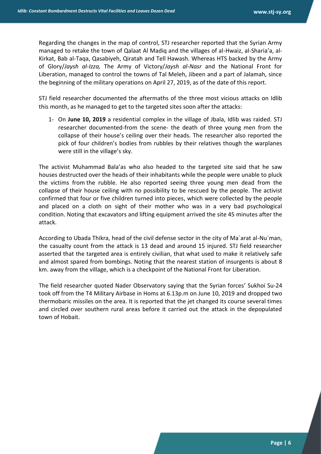Regarding the changes in the map of control, STJ researcher reported that the Syrian Army managed to retake the town of Qalaat Al Madiq and the villages of al-Hwaiz, al-Sharia'a, al-Kirkat, Bab al-Taqa, Qasabiyeh, Qiratah and Tell Hawash. Whereas HTS backed by the Army of Glory/*Jaysh al-Izza,* The Army of Victory/*Jaysh al-Nasr* and the National Front for Liberation, managed to control the towns of Tal Meleh, Jibeen and a part of Jalamah, since the beginning of the military operations on April 27, 2019, as of the date of this report.

STJ field researcher documented the aftermaths of the three most vicious attacks on Idlib this month, as he managed to get to the targeted sites soon after the attacks:

1- On **June 10, 2019** a residential complex in the village of Jbala, Idlib was raided. STJ researcher documented-from the scene- the death of three young men from the collapse of their house's ceiling over their heads. The researcher also reported the pick of four children's bodies from rubbles by their relatives though the warplanes were still in the village's sky.

The activist Muhammad Bala'as who also headed to the targeted site said that he saw houses destructed over the heads of their inhabitants while the people were unable to pluck the victims from the rubble. He also reported seeing three young men dead from the collapse of their house ceiling with no possibility to be rescued by the people. The activist confirmed that four or five children turned into pieces, which were collected by the people and placed on a cloth on sight of their mother who was in a very bad psychological condition. Noting that excavators and lifting equipment arrived the site 45 minutes after the attack.

According to Ubada Thikra, head of the civil defense sector in the city of Ma`arat al-Nu`man, the casualty count from the attack is 13 dead and around 15 injured. STJ field researcher asserted that the targeted area is entirely civilian, that what used to make it relatively safe and almost spared from bombings. Noting that the nearest station of insurgents is about 8 km. away from the village, which is a checkpoint of the National Front for Liberation.

The field researcher quoted Nader Observatory saying that the Syrian forces' Sukhoi Su-24 took off from the T4 Military Airbase in Homs at 6.13p.m on June 10, 2019 and dropped two thermobaric missiles on the area. It is reported that the jet changed its course several times and circled over southern rural areas before it carried out the attack in the depopulated town of Hobait.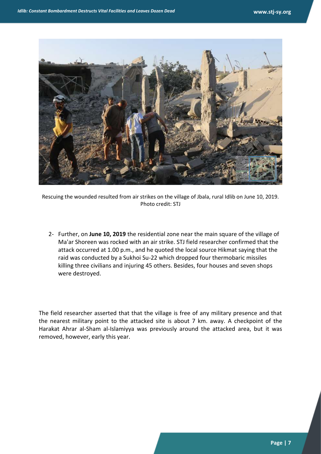

Rescuing the wounded resulted from air strikes on the village of Jbala, rural Idlib on June 10, 2019. Photo credit: STJ

2- Further, on **June 10, 2019** the residential zone near the main square of the village of Ma'ar Shoreen was rocked with an air strike. STJ field researcher confirmed that the attack occurred at 1.00 p.m., and he quoted the local source Hikmat saying that the raid was conducted by a Sukhoi Su-22 which dropped four thermobaric missiles killing three civilians and injuring 45 others. Besides, four houses and seven shops were destroyed.

The field researcher asserted that that the village is free of any military presence and that the nearest military point to the attacked site is about 7 km. away. A checkpoint of the Harakat Ahrar al-Sham al-Islamiyya was previously around the attacked area, but it was removed, however, early this year.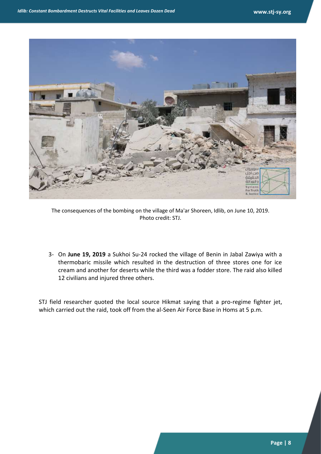

The consequences of the bombing on the village of Ma'ar Shoreen, Idlib, on June 10, 2019. Photo credit: STJ.

3- On **June 19, 2019** a Sukhoi Su-24 rocked the village of Benin in Jabal Zawiya with a thermobaric missile which resulted in the destruction of three stores one for ice cream and another for deserts while the third was a fodder store. The raid also killed 12 civilians and injured three others.

STJ field researcher quoted the local source Hikmat saying that a pro-regime fighter jet, which carried out the raid, took off from the al-Seen Air Force Base in Homs at 5 p.m.